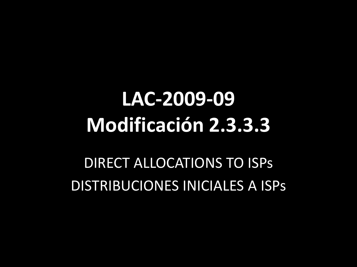# **LAC-2009-09 Modificación 2.3.3.3**

DIRECT ALLOCATIONS TO ISPs DISTRIBUCIONES INICIALES A ISPs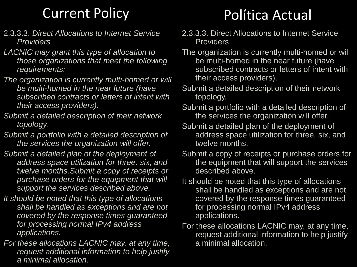#### Current Policy

- 2.3.3.3. *Direct Allocations to Internet Service Providers*
- *LACNIC may grant this type of allocation to those organizations that meet the following requirements:*
- *The organization is currently multi-homed or will be multi-homed in the near future (have subscribed contracts or letters of intent with their access providers).*
- *Submit a detailed description of their network topology.*
- *Submit a portfolio with a detailed description of the services the organization will offer.*
- *Submit a detailed plan of the deployment of address space utilization for three, six, and twelve months.Submit a copy of receipts or purchase orders for the equipment that will support the services described above.*
- *It should be noted that this type of allocations shall be handled as exceptions and are not covered by the response times guaranteed for processing normal IPv4 address applications.*
- *For these allocations LACNIC may, at any time, request additional information to help justify a minimal allocation.*

#### Política Actual

- 2.3.3.3. Direct Allocations to Internet Service **Providers**
- The organization is currently multi-homed or will be multi-homed in the near future (have subscribed contracts or letters of intent with their access providers).
- Submit a detailed description of their network topology.
- Submit a portfolio with a detailed description of the services the organization will offer.
- Submit a detailed plan of the deployment of address space utilization for three, six, and twelve months.
- Submit a copy of receipts or purchase orders for the equipment that will support the services described above.
- It should be noted that this type of allocations shall be handled as exceptions and are not covered by the response times guaranteed for processing normal IPv4 address applications.
- For these allocations LACNIC may, at any time, request additional information to help justify a minimal allocation.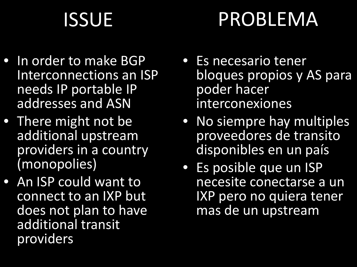# ISSUE

# PROBLEMA

- In order to make BGP Interconnections an ISP needs IP portable IP addresses and ASN
- There might not be additional upstream providers in a country (monopolies)
- An ISP could want to connect to an IXP but does not plan to have additional transit providers
- Es necesario tener bloques propios y AS para poder hacer interconexiones
- No siempre hay multiples proveedores de transito disponibles en un país
- Es posible que un ISP necesite conectarse a un IXP pero no quiera tener mas de un upstream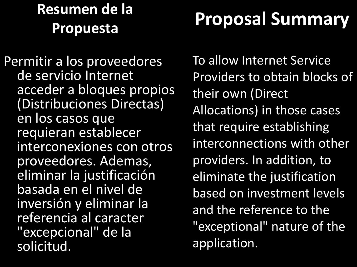#### **Resumen de la Propuesta**

### **Proposal Summary**

Permitir a los proveedores de servicio Internet acceder a bloques propios (Distribuciones Directas) en los casos que requieran establecer interconexiones con otros proveedores. Ademas, eliminar la justificación basada en el nivel de inversión y eliminar la referencia al caracter "excepcional" de la solicitud.

To allow Internet Service Providers to obtain blocks of their own (Direct Allocations) in those cases that require establishing interconnections with other providers. In addition, to eliminate the justification based on investment levels and the reference to the "exceptional" nature of the application.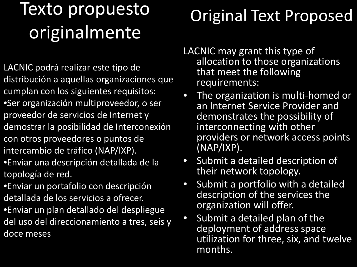#### Texto propuesto originalmente

- LACNIC podrá realizar este tipo de distribución a aquellas organizaciones que cumplan con los siguientes requisitos:
- •Ser organización multiproveedor, o ser proveedor de servicios de Internet y demostrar la posibilidad de Interconexión
- con otros proveedores o puntos de intercambio de tráfico (NAP/IXP).
- •Enviar una descripción detallada de la topología de red.
- •Enviar un portafolio con descripción detallada de los servicios a ofrecer.
- •Enviar un plan detallado del despliegue del uso del direccionamiento a tres, seis y doce meses

#### Original Text Proposed

- LACNIC may grant this type of allocation to those organizations that meet the following requirements:
- The organization is multi-homed or an Internet Service Provider and demonstrates the possibility of interconnecting with other providers or network access points (NAP/IXP).
- Submit a detailed description of their network topology.
- Submit a portfolio with a detailed description of the services the organization will offer.
- Submit a detailed plan of the deployment of address space utilization for three, six, and twelve months.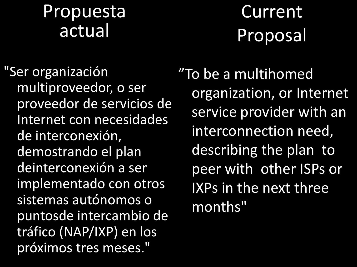#### Propuesta actual

**Current** Proposal

"Ser organización multiproveedor, o ser proveedor de servicios de Internet con necesidades de interconexión, demostrando el plan deinterconexión a ser implementado con otros sistemas autónomos o puntosde intercambio de tráfico (NAP/IXP) en los próximos tres meses."

"To be a multihomed organization, or Internet service provider with an interconnection need, describing the plan to peer with other ISPs or IXPs in the next three months"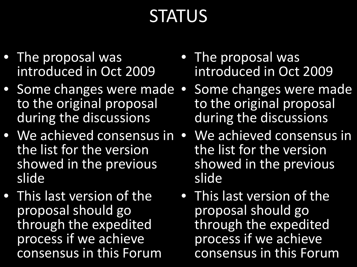#### **STATUS**

- The proposal was introduced in Oct 2009
- Some changes were made to the original proposal during the discussions
- We achieved consensus in the list for the version showed in the previous slide
- This last version of the proposal should go through the expedited process if we achieve consensus in this Forum
- The proposal was introduced in Oct 2009
- Some changes were made to the original proposal during the discussions
- We achieved consensus in the list for the version showed in the previous slide
- This last version of the proposal should go through the expedited process if we achieve consensus in this Forum